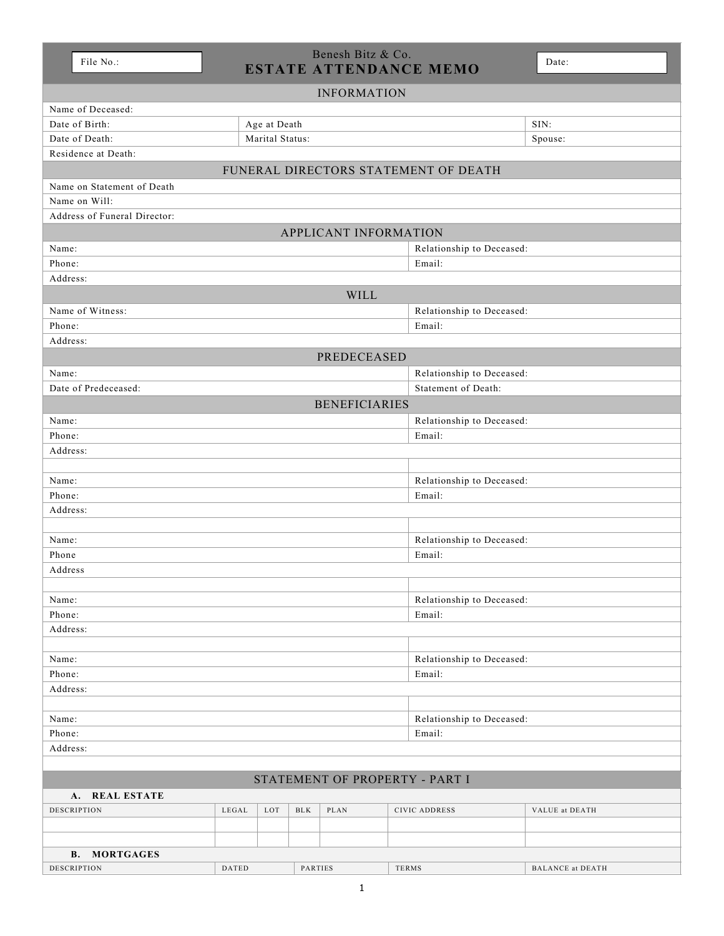| ı<br>᠆ |  |
|--------|--|
|        |  |

## Benesh Bitz & Co. File No.: ESTATE ATTENDANCE MEMO

|                                      |          |                 |                           |                           | ESIAIE AI IENDANCE MEMO   |                |  |  |  |
|--------------------------------------|----------|-----------------|---------------------------|---------------------------|---------------------------|----------------|--|--|--|
| <b>INFORMATION</b>                   |          |                 |                           |                           |                           |                |  |  |  |
| Name of Deceased:                    |          |                 |                           |                           |                           |                |  |  |  |
| Date of Birth:                       |          | Age at Death    |                           |                           | SIN:                      |                |  |  |  |
| Date of Death:                       |          | Marital Status: |                           |                           |                           | Spouse:        |  |  |  |
| Residence at Death:                  |          |                 |                           |                           |                           |                |  |  |  |
| FUNERAL DIRECTORS STATEMENT OF DEATH |          |                 |                           |                           |                           |                |  |  |  |
| Name on Statement of Death           |          |                 |                           |                           |                           |                |  |  |  |
| Name on Will:                        |          |                 |                           |                           |                           |                |  |  |  |
| Address of Funeral Director:         |          |                 |                           |                           |                           |                |  |  |  |
| APPLICANT INFORMATION                |          |                 |                           |                           |                           |                |  |  |  |
| Name:                                |          |                 |                           | Relationship to Deceased: |                           |                |  |  |  |
| Phone:                               |          |                 |                           |                           | Email:                    |                |  |  |  |
| Address:                             |          |                 |                           |                           |                           |                |  |  |  |
| <b>WILL</b>                          |          |                 |                           |                           |                           |                |  |  |  |
| Name of Witness:                     |          |                 |                           |                           | Relationship to Deceased: |                |  |  |  |
| Phone:                               |          |                 |                           |                           | Email:                    |                |  |  |  |
| Address:                             |          |                 |                           |                           |                           |                |  |  |  |
| <b>PREDECEASED</b>                   |          |                 |                           |                           |                           |                |  |  |  |
| Name:                                |          |                 |                           |                           | Relationship to Deceased: |                |  |  |  |
| Date of Predeceased:                 |          |                 |                           |                           | Statement of Death:       |                |  |  |  |
|                                      |          |                 |                           | <b>BENEFICIARIES</b>      |                           |                |  |  |  |
| Name:                                |          |                 |                           |                           | Relationship to Deceased: |                |  |  |  |
| Phone:                               |          |                 |                           |                           | Email:                    |                |  |  |  |
| Address:                             |          |                 |                           |                           |                           |                |  |  |  |
|                                      |          |                 |                           |                           |                           |                |  |  |  |
| Name:                                |          |                 |                           |                           | Relationship to Deceased: |                |  |  |  |
| Phone:                               |          |                 |                           |                           |                           | Email:         |  |  |  |
| Address:                             |          |                 |                           |                           |                           |                |  |  |  |
|                                      |          |                 |                           |                           |                           |                |  |  |  |
| Name:                                |          |                 |                           | Relationship to Deceased: |                           |                |  |  |  |
| Phone                                |          | Email:          |                           |                           |                           |                |  |  |  |
| Address                              |          |                 |                           |                           |                           |                |  |  |  |
|                                      |          |                 |                           |                           |                           |                |  |  |  |
| Name:                                |          |                 | Relationship to Deceased: |                           |                           |                |  |  |  |
| Phone:                               |          |                 | Email:                    |                           |                           |                |  |  |  |
| Address:                             |          |                 |                           |                           |                           |                |  |  |  |
|                                      |          |                 |                           |                           |                           |                |  |  |  |
| Name:                                |          |                 | Relationship to Deceased: |                           |                           |                |  |  |  |
| Phone:                               |          |                 | Email:                    |                           |                           |                |  |  |  |
| Address:                             |          |                 |                           |                           |                           |                |  |  |  |
|                                      |          |                 |                           |                           |                           |                |  |  |  |
| Name:                                |          |                 | Relationship to Deceased: |                           |                           |                |  |  |  |
| Phone:                               |          | Email:          |                           |                           |                           |                |  |  |  |
|                                      | Address: |                 |                           |                           |                           |                |  |  |  |
|                                      |          |                 |                           |                           |                           |                |  |  |  |
| STATEMENT OF PROPERTY - PART I       |          |                 |                           |                           |                           |                |  |  |  |
| A. REAL ESTATE                       |          |                 |                           |                           |                           |                |  |  |  |
| DESCRIPTION                          | LEGAL    | LOT             | $_{\rm BLK}$              | PLAN                      | <b>CIVIC ADDRESS</b>      | VALUE at DEATH |  |  |  |
|                                      |          |                 |                           |                           |                           |                |  |  |  |